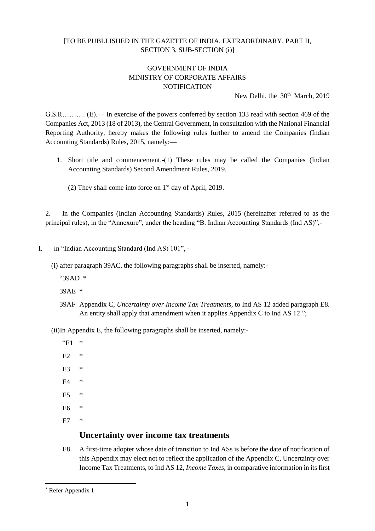### [TO BE PUBLLISHED IN THE GAZETTE OF INDIA, EXTRAORDINARY, PART II, SECTION 3, SUB-SECTION (i)]

#### GOVERNMENT OF INDIA MINISTRY OF CORPORATE AFFAIRS **NOTIFICATION**

New Delhi, the 30<sup>th</sup> March, 2019

G.S.R………. (E).— In exercise of the powers conferred by section 133 read with section 469 of the Companies Act, 2013 (18 of 2013), the Central Government, in consultation with the National Financial Reporting Authority, hereby makes the following rules further to amend the Companies (Indian Accounting Standards) Rules, 2015, namely:—

- 1. Short title and commencement.-(1) These rules may be called the Companies (Indian Accounting Standards) Second Amendment Rules, 2019.
	- (2) They shall come into force on  $1<sup>st</sup>$  day of April, 2019.

2. In the Companies (Indian Accounting Standards) Rules, 2015 (hereinafter referred to as the principal rules), in the "Annexure", under the heading "B. Indian Accounting Standards (Ind AS)",-

- I. in "Indian Accounting Standard (Ind AS) 101",
	- (i) after paragraph 39AC, the following paragraphs shall be inserted, namely:-
		- "39AD \*

39AE \*

39AF Appendix C, *Uncertainty over Income Tax Treatments,* to Ind AS 12 added paragraph E8. An entity shall apply that amendment when it applies Appendix C to Ind AS 12.";

(ii)In Appendix E, the following paragraphs shall be inserted, namely:-

 $E1$  \*

- E2 \*
- $E3$  \*
- E4 \*
- E5 \*
- E6 \*
- $E7$

### **Uncertainty over income tax treatments**

E8 A first-time adopter whose date of transition to Ind ASs is before the date of notification of this Appendix may elect not to reflect the application of the Appendix C, Uncertainty over Income Tax Treatments, to Ind AS 12, *Income Taxes,* in comparative information in its first

<sup>\*</sup> Refer Appendix 1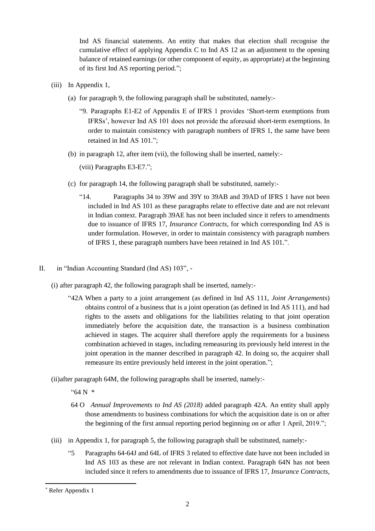Ind AS financial statements. An entity that makes that election shall recognise the cumulative effect of applying Appendix C to Ind AS 12 as an adjustment to the opening balance of retained earnings (or other component of equity, as appropriate) at the beginning of its first Ind AS reporting period.";

- (iii) In Appendix 1,
	- (a) for paragraph 9, the following paragraph shall be substituted, namely:-
		- "9. Paragraphs E1-E2 of Appendix E of IFRS 1 provides 'Short-term exemptions from IFRSs', however Ind AS 101 does not provide the aforesaid short-term exemptions. In order to maintain consistency with paragraph numbers of IFRS 1, the same have been retained in Ind AS 101.";
	- (b) in paragraph 12, after item (vii), the following shall be inserted, namely:-

(viii) Paragraphs E3-E7.";

- (c) for paragraph 14, the following paragraph shall be substituted, namely:-
	- "14. Paragraphs 34 to 39W and 39Y to 39AB and 39AD of IFRS 1 have not been included in Ind AS 101 as these paragraphs relate to effective date and are not relevant in Indian context. Paragraph 39AE has not been included since it refers to amendments due to issuance of IFRS 17, *Insurance Contracts*, for which corresponding Ind AS is under formulation. However, in order to maintain consistency with paragraph numbers of IFRS 1, these paragraph numbers have been retained in Ind AS 101.".
- II. in "Indian Accounting Standard (Ind AS) 103",
	- (i) after paragraph 42, the following paragraph shall be inserted, namely:-
		- "42A When a party to a joint arrangement (as defined in Ind AS 111, *Joint Arrangements*) obtains control of a business that is a joint operation (as defined in Ind AS 111), and had rights to the assets and obligations for the liabilities relating to that joint operation immediately before the acquisition date, the transaction is a business combination achieved in stages. The acquirer shall therefore apply the requirements for a business combination achieved in stages, including remeasuring its previously held interest in the joint operation in the manner described in paragraph 42. In doing so, the acquirer shall remeasure its entire previously held interest in the joint operation.";

(ii)after paragraph 64M, the following paragraphs shall be inserted, namely:-

 $464 N$  \*

- 64 O *Annual Improvements to Ind AS (2018)* added paragraph 42A. An entity shall apply those amendments to business combinations for which the acquisition date is on or after the beginning of the first annual reporting period beginning on or after 1 April, 2019.";
- (iii) in Appendix 1, for paragraph 5, the following paragraph shall be substituted, namely:-
	- "5 Paragraphs 64-64J and 64L of IFRS 3 related to effective date have not been included in Ind AS 103 as these are not relevant in Indian context. Paragraph 64N has not been included since it refers to amendments due to issuance of IFRS 17, *Insurance Contracts*,

<sup>\*</sup> Refer Appendix 1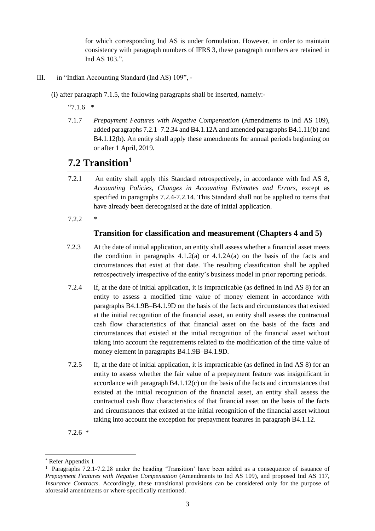for which corresponding Ind AS is under formulation. However, in order to maintain consistency with paragraph numbers of IFRS 3, these paragraph numbers are retained in Ind AS 103.".

III. in "Indian Accounting Standard (Ind AS) 109", -

(i) after paragraph 7.1.5, the following paragraphs shall be inserted, namely:-

 $"7.1.6"$ 

7.1.7 *Prepayment Features with Negative Compensation* (Amendments to Ind AS 109), added paragraphs 7.2.1–7.2.34 and B4.1.12A and amended paragraphs B4.1.11(b) and B4.1.12(b). An entity shall apply these amendments for annual periods beginning on or after 1 April, 2019.

## **7.2 Transition<sup>1</sup>**

- 7.2.1 An entity shall apply this Standard retrospectively, in accordance with Ind AS 8, *Accounting Policies, Changes in Accounting Estimates and Errors*, except as specified in paragraphs 7.2.4-7.2.14. This Standard shall not be applied to items that have already been derecognised at the date of initial application.
- 7.2.2 \*

#### **Transition for classification and measurement (Chapters 4 and 5)**

- 7.2.3 At the date of initial application, an entity shall assess whether a financial asset meets the condition in paragraphs  $4.1.2(a)$  or  $4.1.2A(a)$  on the basis of the facts and circumstances that exist at that date. The resulting classification shall be applied retrospectively irrespective of the entity's business model in prior reporting periods.
- 7.2.4 If, at the date of initial application, it is impracticable (as defined in Ind AS 8) for an entity to assess a modified time value of money element in accordance with paragraphs B4.1.9B–B4.1.9D on the basis of the facts and circumstances that existed at the initial recognition of the financial asset, an entity shall assess the contractual cash flow characteristics of that financial asset on the basis of the facts and circumstances that existed at the initial recognition of the financial asset without taking into account the requirements related to the modification of the time value of money element in paragraphs B4.1.9B–B4.1.9D.
- 7.2.5 If, at the date of initial application, it is impracticable (as defined in Ind AS 8) for an entity to assess whether the fair value of a prepayment feature was insignificant in accordance with paragraph  $B4.1.12(c)$  on the basis of the facts and circumstances that existed at the initial recognition of the financial asset, an entity shall assess the contractual cash flow characteristics of that financial asset on the basis of the facts and circumstances that existed at the initial recognition of the financial asset without taking into account the exception for prepayment features in paragraph B4.1.12.

7.2.6 \*

l

Refer Appendix 1

<sup>&</sup>lt;sup>1</sup> Paragraphs 7.2.1-7.2.28 under the heading 'Transition' have been added as a consequence of issuance of *Prepayment Features with Negative Compensation* (Amendments to Ind AS 109), and proposed Ind AS 117, *Insurance Contracts*. Accordingly, these transitional provisions can be considered only for the purpose of aforesaid amendments or where specifically mentioned.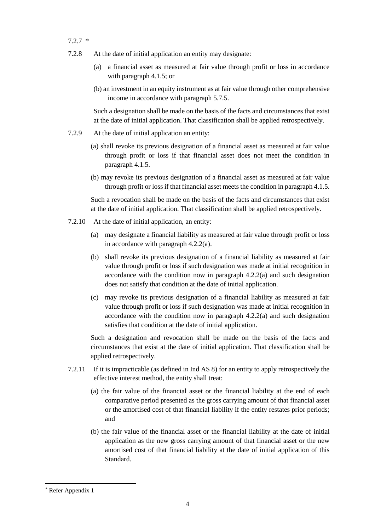- 7.2.7 \*
- 7.2.8 At the date of initial application an entity may designate:
	- (a) a financial asset as measured at fair value through profit or loss in accordance with paragraph 4.1.5; or
	- (b) an investment in an equity instrument as at fair value through other comprehensive income in accordance with paragraph 5.7.5.

Such a designation shall be made on the basis of the facts and circumstances that exist at the date of initial application. That classification shall be applied retrospectively.

- 7.2.9 At the date of initial application an entity:
	- (a) shall revoke its previous designation of a financial asset as measured at fair value through profit or loss if that financial asset does not meet the condition in paragraph 4.1.5.
	- (b) may revoke its previous designation of a financial asset as measured at fair value through profit or loss if that financial asset meets the condition in paragraph 4.1.5.

Such a revocation shall be made on the basis of the facts and circumstances that exist at the date of initial application. That classification shall be applied retrospectively.

- 7.2.10 At the date of initial application, an entity:
	- (a) may designate a financial liability as measured at fair value through profit or loss in accordance with paragraph 4.2.2(a).
	- (b) shall revoke its previous designation of a financial liability as measured at fair value through profit or loss if such designation was made at initial recognition in accordance with the condition now in paragraph 4.2.2(a) and such designation does not satisfy that condition at the date of initial application.
	- (c) may revoke its previous designation of a financial liability as measured at fair value through profit or loss if such designation was made at initial recognition in accordance with the condition now in paragraph 4.2.2(a) and such designation satisfies that condition at the date of initial application.

Such a designation and revocation shall be made on the basis of the facts and circumstances that exist at the date of initial application. That classification shall be applied retrospectively.

- 7.2.11 If it is impracticable (as defined in Ind AS 8) for an entity to apply retrospectively the effective interest method, the entity shall treat:
	- (a) the fair value of the financial asset or the financial liability at the end of each comparative period presented as the gross carrying amount of that financial asset or the amortised cost of that financial liability if the entity restates prior periods; and
	- (b) the fair value of the financial asset or the financial liability at the date of initial application as the new gross carrying amount of that financial asset or the new amortised cost of that financial liability at the date of initial application of this Standard.

<sup>\*</sup> Refer Appendix 1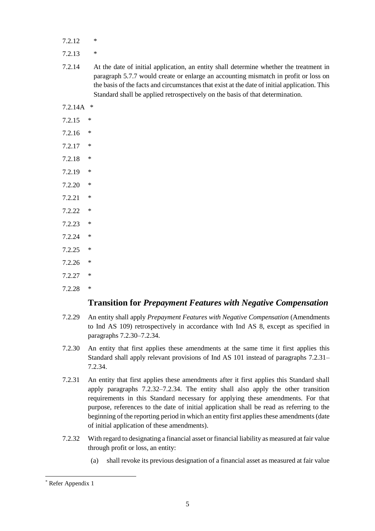- $7.212$  \*
- 7.2.13 \*
- 7.2.14 At the date of initial application, an entity shall determine whether the treatment in paragraph 5.7.7 would create or enlarge an accounting mismatch in profit or loss on the basis of the facts and circumstances that exist at the date of initial application. This Standard shall be applied retrospectively on the basis of that determination.
- 7.2.14A \*
- 7.2.15 \*
- 7.2.16 \*
- 7.2.17 \*
- 7.2.18 \*
- 7.2.19 \*
- 7.2.20 \*
- $7.2.21$  \*
- 7.2.22 \*
- 7.2.23 \*
- 7.2.24 \*
- 7.2.25 \*
- 7.2.26 \*
- 7.2.27 \*
- $7.2.28$  \*

### **Transition for** *Prepayment Features with Negative Compensation*

- 7.2.29 An entity shall apply *Prepayment Features with Negative Compensation* (Amendments to Ind AS 109) retrospectively in accordance with Ind AS 8, except as specified in paragraphs 7.2.30–7.2.34.
- 7.2.30 An entity that first applies these amendments at the same time it first applies this Standard shall apply relevant provisions of Ind AS 101 instead of paragraphs 7.2.31– 7.2.34.
- 7.2.31 An entity that first applies these amendments after it first applies this Standard shall apply paragraphs 7.2.32–7.2.34. The entity shall also apply the other transition requirements in this Standard necessary for applying these amendments. For that purpose, references to the date of initial application shall be read as referring to the beginning of the reporting period in which an entity first applies these amendments (date of initial application of these amendments).
- 7.2.32 With regard to designating a financial asset or financial liability as measured at fair value through profit or loss, an entity:
	- (a) shall revoke its previous designation of a financial asset as measured at fair value

l

<sup>\*</sup> Refer Appendix 1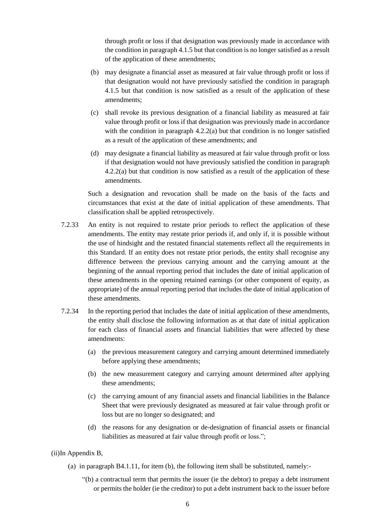through profit or loss if that designation was previously made in accordance with the condition in paragraph 4.1.5 but that condition is no longer satisfied as a result of the application of these amendments;

- (b) may designate a financial asset as measured at fair value through profit or loss if that designation would not have previously satisfied the condition in paragraph 4.1.5 but that condition is now satisfied as a result of the application of these amendments;
- (c) shall revoke its previous designation of a financial liability as measured at fair value through profit or loss if that designation was previously made in accordance with the condition in paragraph  $4.2.2(a)$  but that condition is no longer satisfied as a result of the application of these amendments; and
- (d) may designate a financial liability as measured at fair value through profit or loss if that designation would not have previously satisfied the condition in paragraph 4.2.2(a) but that condition is now satisfied as a result of the application of these amendments.

Such a designation and revocation shall be made on the basis of the facts and circumstances that exist at the date of initial application of these amendments. That classification shall be applied retrospectively.

- 7.2.33 An entity is not required to restate prior periods to reflect the application of these amendments. The entity may restate prior periods if, and only if, it is possible without the use of hindsight and the restated financial statements reflect all the requirements in this Standard. If an entity does not restate prior periods, the entity shall recognise any difference between the previous carrying amount and the carrying amount at the beginning of the annual reporting period that includes the date of initial application of these amendments in the opening retained earnings (or other component of equity, as appropriate) of the annual reporting period that includes the date of initial application of these amendments.
- 7.2.34 In the reporting period that includes the date of initial application of these amendments, the entity shall disclose the following information as at that date of initial application for each class of financial assets and financial liabilities that were affected by these amendments:
	- (a) the previous measurement category and carrying amount determined immediately before applying these amendments;
	- (b) the new measurement category and carrying amount determined after applying these amendments;
	- (c) the carrying amount of any financial assets and financial liabilities in the Balance Sheet that were previously designated as measured at fair value through profit or loss but are no longer so designated; and
	- (d) the reasons for any designation or de-designation of financial assets or financial liabilities as measured at fair value through profit or loss.";

(ii)In Appendix B,

- (a) in paragraph B4.1.11, for item (b), the following item shall be substituted, namely:-
	- "(b) a contractual term that permits the issuer (ie the debtor) to prepay a debt instrument or permits the holder (ie the creditor) to put a debt instrument back to the issuer before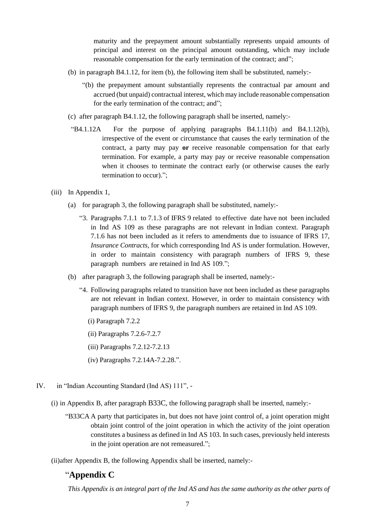maturity and the prepayment amount substantially represents unpaid amounts of principal and interest on the principal amount outstanding, which may include reasonable compensation for the early termination of the contract; and";

- (b) in paragraph B4.1.12, for item (b), the following item shall be substituted, namely:-
	- "(b) the prepayment amount substantially represents the contractual par amount and accrued (but unpaid) contractual interest, which may include reasonable compensation for the early termination of the contract; and";
- (c) after paragraph B4.1.12, the following paragraph shall be inserted, namely:-
- "B4.1.12A For the purpose of applying paragraphs  $B4.1.11(b)$  and  $B4.1.12(b)$ , irrespective of the event or circumstance that causes the early termination of the contract, a party may pay **or** receive reasonable compensation for that early termination. For example, a party may pay or receive reasonable compensation when it chooses to terminate the contract early (or otherwise causes the early termination to occur).";
- (iii) In Appendix 1,
	- (a) for paragraph 3, the following paragraph shall be substituted, namely:-
		- "3. Paragraphs 7.1.1 to 7.1.3 of IFRS 9 related to effective date have not been included in Ind AS 109 as these paragraphs are not relevant in Indian context. Paragraph 7.1.6 has not been included as it refers to amendments due to issuance of IFRS 17, *Insurance Contracts*, for which corresponding Ind AS is under formulation. However, in order to maintain consistency with paragraph numbers of IFRS 9, these paragraph numbers are retained in Ind AS 109.";
	- (b) after paragraph 3, the following paragraph shall be inserted, namely:-
		- "4. Following paragraphs related to transition have not been included as these paragraphs are not relevant in Indian context. However, in order to maintain consistency with paragraph numbers of IFRS 9, the paragraph numbers are retained in Ind AS 109.
			- (i) Paragraph 7.2.2
			- (ii) Paragraphs 7.2.6-7.2.7
			- (iii) Paragraphs 7.2.12-7.2.13
			- (iv) Paragraphs 7.2.14A-7.2.28.".
- IV. in "Indian Accounting Standard (Ind AS) 111",
	- (i) in Appendix B, after paragraph B33C, the following paragraph shall be inserted, namely:-
		- "B33CA A party that participates in, but does not have joint control of, a joint operation might obtain joint control of the joint operation in which the activity of the joint operation constitutes a business as defined in Ind AS 103. In such cases, previously held interests in the joint operation are not remeasured.";

(ii)after Appendix B, the following Appendix shall be inserted, namely:-

### "**Appendix C**

*This Appendix is an integral part of the Ind AS and has the same authority as the other parts of*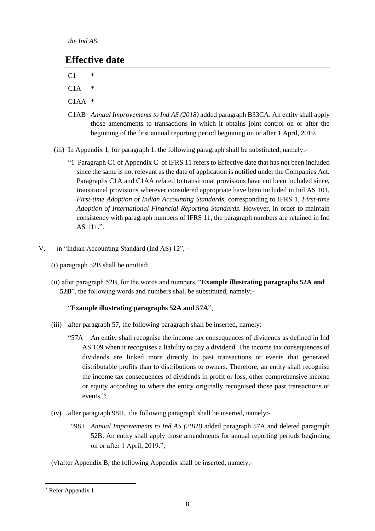*the Ind AS.*

## **Effective date**

 $C1$  \*

- $C1A$  \*
- $C1AA$  \*
- C1AB *Annual Improvements to Ind AS (2018)* added paragraph B33CA. An entity shall apply those amendments to transactions in which it obtains joint control on or after the beginning of the first annual reporting period beginning on or after 1 April, 2019.
- (iii) In Appendix 1, for paragraph 1, the following paragraph shall be substituted, namely:-
	- "1 Paragraph C1 of Appendix C of IFRS 11 refers to Effective date that has not been included since the same is not relevant as the date of application is notified under the Companies Act. Paragraphs C1A and C1AA related to transitional provisions have not been included since, transitional provisions wherever considered appropriate have been included in Ind AS 101, *First-time Adoption of Indian Accounting Standards,* corresponding to IFRS 1, *First-time Adoption of International Financial Reporting Standards.* However, in order to maintain consistency with paragraph numbers of IFRS 11, the paragraph numbers are retained in Ind AS 111.".
- V. in "Indian Accounting Standard (Ind AS) 12",
	- (i) paragraph 52B shall be omitted;
	- (ii) after paragraph 52B, for the words and numbers, "**Example illustrating paragraphs 52A and 52B**", the following words and numbers shall be substituted, namely;-

### "**Example illustrating paragraphs 52A and 57A**";

- (iii) after paragraph 57, the following paragraph shall be inserted, namely:-
	- "57A An entity shall recognise the income tax consequences of dividends as defined in Ind AS 109 when it recognises a liability to pay a dividend. The income tax consequences of dividends are linked more directly to past transactions or events that generated distributable profits than to distributions to owners. Therefore, an entity shall recognise the income tax consequences of dividends in profit or loss, other comprehensive income or equity according to where the entity originally recognised those past transactions or events.";
- (iv) after paragraph 98H, the following paragraph shall be inserted, namely:-
	- "98 I *Annual Improvements to Ind AS (2018)* added paragraph 57A and deleted paragraph 52B. An entity shall apply those amendments for annual reporting periods beginning on or after 1 April, 2019.";
- (v)after Appendix B, the following Appendix shall be inserted, namely:-

<sup>\*</sup> Refer Appendix 1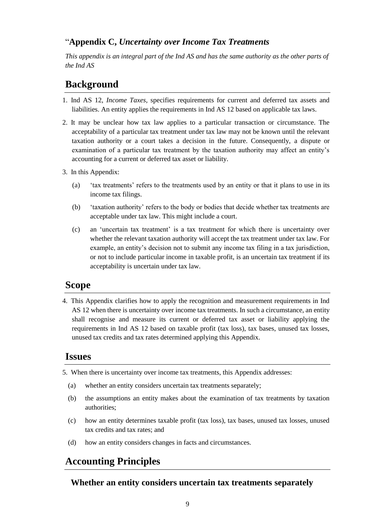## "**Appendix C,** *Uncertainty over Income Tax Treatments*

*This appendix is an integral part of the Ind AS and has the same authority as the other parts of the Ind AS*

# **Background**

- 1. Ind AS 12, *Income Taxes,* specifies requirements for current and deferred tax assets and liabilities. An entity applies the requirements in Ind AS 12 based on applicable tax laws.
- 2. It may be unclear how tax law applies to a particular transaction or circumstance. The acceptability of a particular tax treatment under tax law may not be known until the relevant taxation authority or a court takes a decision in the future. Consequently, a dispute or examination of a particular tax treatment by the taxation authority may affect an entity's accounting for a current or deferred tax asset or liability.
- 3. In this Appendix:
	- (a) 'tax treatments' refers to the treatments used by an entity or that it plans to use in its income tax filings.
	- (b) 'taxation authority' refers to the body or bodies that decide whether tax treatments are acceptable under tax law. This might include a court.
	- (c) an 'uncertain tax treatment' is a tax treatment for which there is uncertainty over whether the relevant taxation authority will accept the tax treatment under tax law. For example, an entity's decision not to submit any income tax filing in a tax jurisdiction, or not to include particular income in taxable profit, is an uncertain tax treatment if its acceptability is uncertain under tax law.

## **Scope**

4. This Appendix clarifies how to apply the recognition and measurement requirements in Ind AS 12 when there is uncertainty over income tax treatments. In such a circumstance, an entity shall recognise and measure its current or deferred tax asset or liability applying the requirements in Ind AS 12 based on taxable profit (tax loss), tax bases, unused tax losses, unused tax credits and tax rates determined applying this Appendix.

## **Issues**

- 5. When there is uncertainty over income tax treatments, this Appendix addresses:
	- (a) whether an entity considers uncertain tax treatments separately;
	- (b) the assumptions an entity makes about the examination of tax treatments by taxation authorities;
	- (c) how an entity determines taxable profit (tax loss), tax bases, unused tax losses, unused tax credits and tax rates; and
	- (d) how an entity considers changes in facts and circumstances.

# **Accounting Principles**

## **Whether an entity considers uncertain tax treatments separately**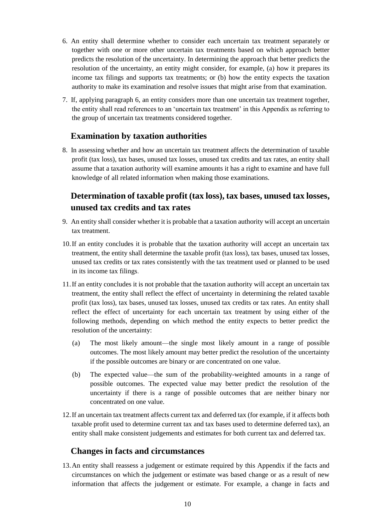- 6. An entity shall determine whether to consider each uncertain tax treatment separately or together with one or more other uncertain tax treatments based on which approach better predicts the resolution of the uncertainty. In determining the approach that better predicts the resolution of the uncertainty, an entity might consider, for example, (a) how it prepares its income tax filings and supports tax treatments; or (b) how the entity expects the taxation authority to make its examination and resolve issues that might arise from that examination.
- 7. If, applying paragraph 6, an entity considers more than one uncertain tax treatment together, the entity shall read references to an 'uncertain tax treatment' in this Appendix as referring to the group of uncertain tax treatments considered together.

### **Examination by taxation authorities**

8. In assessing whether and how an uncertain tax treatment affects the determination of taxable profit (tax loss), tax bases, unused tax losses, unused tax credits and tax rates, an entity shall assume that a taxation authority will examine amounts it has a right to examine and have full knowledge of all related information when making those examinations.

## **Determination of taxable profit (tax loss), tax bases, unused tax losses, unused tax credits and tax rates**

- 9. An entity shall consider whether it is probable that a taxation authority will accept an uncertain tax treatment.
- 10.If an entity concludes it is probable that the taxation authority will accept an uncertain tax treatment, the entity shall determine the taxable profit (tax loss), tax bases, unused tax losses, unused tax credits or tax rates consistently with the tax treatment used or planned to be used in its income tax filings.
- 11.If an entity concludes it is not probable that the taxation authority will accept an uncertain tax treatment, the entity shall reflect the effect of uncertainty in determining the related taxable profit (tax loss), tax bases, unused tax losses, unused tax credits or tax rates. An entity shall reflect the effect of uncertainty for each uncertain tax treatment by using either of the following methods, depending on which method the entity expects to better predict the resolution of the uncertainty:
	- (a) The most likely amount—the single most likely amount in a range of possible outcomes. The most likely amount may better predict the resolution of the uncertainty if the possible outcomes are binary or are concentrated on one value.
	- (b) The expected value—the sum of the probability-weighted amounts in a range of possible outcomes. The expected value may better predict the resolution of the uncertainty if there is a range of possible outcomes that are neither binary nor concentrated on one value.
- 12.If an uncertain tax treatment affects current tax and deferred tax (for example, if it affects both taxable profit used to determine current tax and tax bases used to determine deferred tax), an entity shall make consistent judgements and estimates for both current tax and deferred tax.

#### **Changes in facts and circumstances**

13.An entity shall reassess a judgement or estimate required by this Appendix if the facts and circumstances on which the judgement or estimate was based change or as a result of new information that affects the judgement or estimate. For example, a change in facts and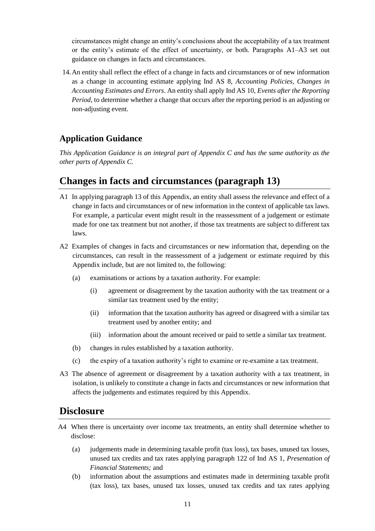circumstances might change an entity's conclusions about the acceptability of a tax treatment or the entity's estimate of the effect of uncertainty, or both. Paragraphs A1–A3 set out guidance on changes in facts and circumstances.

14.An entity shall reflect the effect of a change in facts and circumstances or of new information as a change in accounting estimate applying Ind AS 8, *Accounting Policies, Changes in Accounting Estimates and Errors*. An entity shall apply Ind AS 10, *Events after the Reporting Period,* to determine whether a change that occurs after the reporting period is an adjusting or non-adjusting event.

## **Application Guidance**

*This Application Guidance is an integral part of Appendix C and has the same authority as the other parts of Appendix C.*

## **Changes in facts and circumstances (paragraph 13)**

- A1 In applying paragraph 13 of this Appendix, an entity *s*hall assess the relevance and effect of a change in facts and circumstances or of new information in the context of applicable tax laws. For example, a particular event might result in the reassessment of a judgement or estimate made for one tax treatment but not another, if those tax treatments are subject to different tax laws.
- A2 Examples of changes in facts and circumstances or new information that, depending on the circumstances, can result in the reassessment of a judgement or estimate required by this Appendix include, but are not limited to, the following:
	- (a) examinations or actions by a taxation authority. For example:
		- (i) agreement or disagreement by the taxation authority with the tax treatment or a similar tax treatment used by the entity;
		- (ii) information that the taxation authority has agreed or disagreed with a similar tax treatment used by another entity; and
		- (iii) information about the amount received or paid to settle a similar tax treatment.
	- (b) changes in rules established by a taxation authority.
	- (c) the expiry of a taxation authority's right to examine or re-examine a tax treatment.
- A3 The absence of agreement or disagreement by a taxation authority with a tax treatment, in isolation, is unlikely to constitute a change in facts and circumstances or new information that affects the judgements and estimates required by this Appendix.

### **Disclosure**

- A4 When there is uncertainty over income tax treatments, an entity shall determine whether to disclose:
	- (a) judgements made in determining taxable profit (tax loss), tax bases, unused tax losses, unused tax credits and tax rates applying paragraph 122 of Ind AS 1, *Presentation of Financial Statements;* and
	- (b) information about the assumptions and estimates made in determining taxable profit (tax loss), tax bases, unused tax losses, unused tax credits and tax rates applying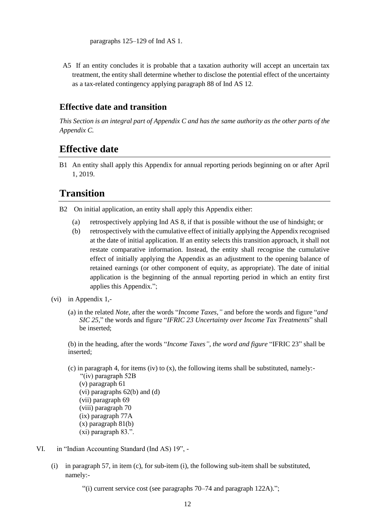paragraphs 125–129 of Ind AS 1.

A5 If an entity concludes it is probable that a taxation authority will accept an uncertain tax treatment, the entity shall determine whether to disclose the potential effect of the uncertainty as a tax-related contingency applying paragraph 88 of Ind AS 12.

### **Effective date and transition**

*This Section is an integral part of Appendix C and has the same authority as the other parts of the Appendix C.*

## **Effective date**

B1 An entity shall apply this Appendix for annual reporting periods beginning on or after April 1, 2019.

## **Transition**

- B2 On initial application, an entity shall apply this Appendix either:
	- (a) retrospectively applying Ind AS 8, if that is possible without the use of hindsight; or
	- (b) retrospectively with the cumulative effect of initially applying the Appendix recognised at the date of initial application. If an entity selects this transition approach, it shall not restate comparative information. Instead, the entity shall recognise the cumulative effect of initially applying the Appendix as an adjustment to the opening balance of retained earnings (or other component of equity, as appropriate). The date of initial application is the beginning of the annual reporting period in which an entity first applies this Appendix.";
- (vi) in Appendix 1,-
	- (a) in the related *Note*, after the words "*Income Taxes,"* and before the words and figure "*and SIC 25,*" the words and figure "*IFRIC 23 Uncertainty over Income Tax Treatments*" shall be inserted;

(b) in the heading, after the words "*Income Taxes", the word and figure* "IFRIC 23" shall be inserted;

- (c) in paragraph 4, for items (iv) to  $(x)$ , the following items shall be substituted, namely:- "(iv) paragraph 52B (v) paragraph 61 (vi) paragraphs 62(b) and (d) (vii) paragraph 69 (viii) paragraph 70 (ix) paragraph 77A
	- (x) paragraph 81(b)
	- (xi) paragraph 83.".
- VI. in "Indian Accounting Standard (Ind AS) 19",
	- (i) in paragraph 57, in item (c), for sub-item (i), the following sub-item shall be substituted, namely:-

 $\cdot$ <sup>(i)</sup>) current service cost (see paragraphs 70–74 and paragraph 122A).";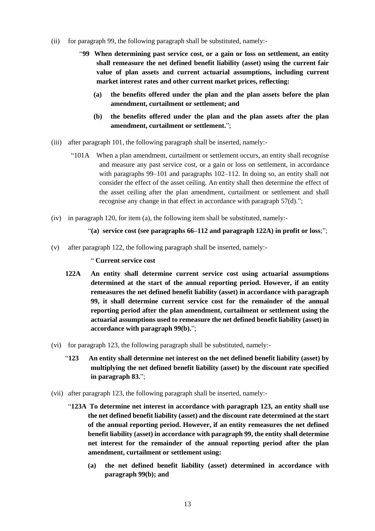- (ii) for paragraph 99, the following paragraph shall be substituted, namely:-
	- "**99 When determining past service cost, or a gain or loss on settlement, an entity shall remeasure the net defined benefit liability (asset) using the current fair value of plan assets and current actuarial assumptions, including current market interest rates and other current market prices, reflecting:**
		- **(a) the benefits offered under the plan and the plan assets before the plan amendment, curtailment or settlement; and**
		- **(b) the benefits offered under the plan and the plan assets after the plan amendment, curtailment or settlement.**";
- (iii) after paragraph 101, the following paragraph shall be inserted, namely:-
	- "101A When a plan amendment, curtailment or settlement occurs, an entity shall recognise and measure any past service cost, or a gain or loss on settlement, in accordance with paragraphs 99–101 and paragraphs 102–112. In doing so, an entity shall not consider the effect of the asset ceiling. An entity shall then determine the effect of the asset ceiling after the plan amendment, curtailment or settlement and shall recognise any change in that effect in accordance with paragraph 57(d).";
- (iv) in paragraph 120, for item (a), the following item shall be substituted, namely:-
	- "**(a) service cost (see paragraphs 66–112 and paragraph 122A) in profit or loss**;";
- (v) after paragraph 122, the following paragraph shall be inserted, namely:-

" **Current service cost**

- **122A An entity shall determine current service cost using actuarial assumptions determined at the start of the annual reporting period. However, if an entity remeasures the net defined benefit liability (asset) in accordance with paragraph 99, it shall determine current service cost for the remainder of the annual reporting period after the plan amendment, curtailment or settlement using the actuarial assumptions used to remeasure the net defined benefit liability (asset) in accordance with paragraph 99(b).**";
- (vi) for paragraph 123, the following paragraph shall be substituted, namely:-
	- "**123 An entity shall determine net interest on the net defined benefit liability (asset) by multiplying the net defined benefit liability (asset) by the discount rate specified in paragraph 83.**";
- (vii) after paragraph 123, the following paragraph shall be inserted, namely:-
	- "**123A To determine net interest in accordance with paragraph 123, an entity shall use the net defined benefit liability (asset) and the discount rate determined at the start of the annual reporting period. However, if an entity remeasures the net defined benefit liability (asset) in accordance with paragraph 99, the entity shall determine net interest for the remainder of the annual reporting period after the plan amendment, curtailment or settlement using:**
		- **(a) the net defined benefit liability (asset) determined in accordance with paragraph 99(b); and**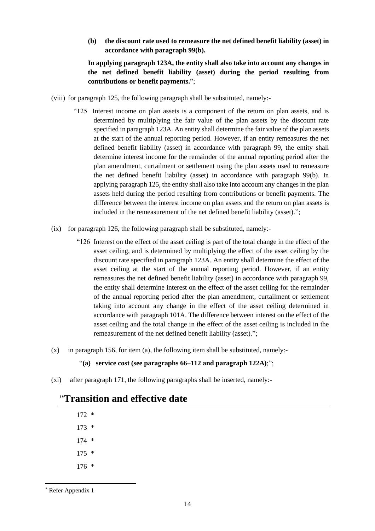**(b) the discount rate used to remeasure the net defined benefit liability (asset) in accordance with paragraph 99(b).**

**In applying paragraph 123A, the entity shall also take into account any changes in the net defined benefit liability (asset) during the period resulting from contributions or benefit payments.**";

- (viii) for paragraph 125, the following paragraph shall be substituted, namely:-
	- "125 Interest income on plan assets is a component of the return on plan assets, and is determined by multiplying the fair value of the plan assets by the discount rate specified in paragraph 123A. An entity shall determine the fair value of the plan assets at the start of the annual reporting period. However, if an entity remeasures the net defined benefit liability (asset) in accordance with paragraph 99, the entity shall determine interest income for the remainder of the annual reporting period after the plan amendment, curtailment or settlement using the plan assets used to remeasure the net defined benefit liability (asset) in accordance with paragraph 99(b). In applying paragraph 125, the entity shall also take into account any changes in the plan assets held during the period resulting from contributions or benefit payments. The difference between the interest income on plan assets and the return on plan assets is included in the remeasurement of the net defined benefit liability (asset).";
- (ix) for paragraph 126, the following paragraph shall be substituted, namely:-
	- "126 Interest on the effect of the asset ceiling is part of the total change in the effect of the asset ceiling, and is determined by multiplying the effect of the asset ceiling by the discount rate specified in paragraph 123A. An entity shall determine the effect of the asset ceiling at the start of the annual reporting period. However, if an entity remeasures the net defined benefit liability (asset) in accordance with paragraph 99, the entity shall determine interest on the effect of the asset ceiling for the remainder of the annual reporting period after the plan amendment, curtailment or settlement taking into account any change in the effect of the asset ceiling determined in accordance with paragraph 101A. The difference between interest on the effect of the asset ceiling and the total change in the effect of the asset ceiling is included in the remeasurement of the net defined benefit liability (asset).";
- $(x)$  in paragraph 156, for item (a), the following item shall be substituted, namely:-

#### "**(a) service cost (see paragraphs 66–112 and paragraph 122A)**;";

(xi) after paragraph 171, the following paragraphs shall be inserted, namely:-

## "**Transition and effective date**

| $172*$  |        |
|---------|--------|
| 173     | $\ast$ |
| $174*$  |        |
| $175 *$ |        |
| 176     | ∗      |

<sup>\*</sup> Refer Appendix 1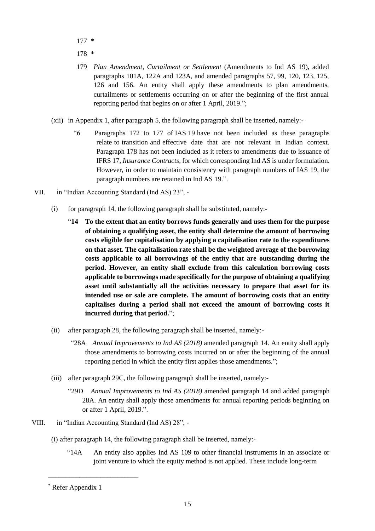- 177 \*
- 178 \*
- 179 *Plan Amendment, Curtailment or Settlement* (Amendments to Ind AS 19), added paragraphs 101A, 122A and 123A, and amended paragraphs 57, 99, 120, 123, 125, 126 and 156. An entity shall apply these amendments to plan amendments, curtailments or settlements occurring on or after the beginning of the first annual reporting period that begins on or after 1 April, 2019.";
- (xii) in Appendix 1, after paragraph 5, the following paragraph shall be inserted, namely:-
	- "6 Paragraphs 172 to 177 of IAS 19 have not been included as these paragraphs relate to transition and effective date that are not relevant in Indian context. Paragraph 178 has not been included as it refers to amendments due to issuance of IFRS 17, *Insurance Contracts*, for which corresponding Ind AS is under formulation. However, in order to maintain consistency with paragraph numbers of IAS 19, the paragraph numbers are retained in Ind AS 19.".
- VII. in "Indian Accounting Standard (Ind AS) 23",
	- (i) for paragraph 14, the following paragraph shall be substituted, namely:-
		- "**14 To the extent that an entity borrows funds generally and uses them for the purpose of obtaining a qualifying asset, the entity shall determine the amount of borrowing costs eligible for capitalisation by applying a capitalisation rate to the expenditures on that asset. The capitalisation rate shall be the weighted average of the borrowing costs applicable to all borrowings of the entity that are outstanding during the period. However, an entity shall exclude from this calculation borrowing costs applicable to borrowings made specifically for the purpose of obtaining a qualifying asset until substantially all the activities necessary to prepare that asset for its intended use or sale are complete. The amount of borrowing costs that an entity capitalises during a period shall not exceed the amount of borrowing costs it incurred during that period.**";
	- (ii) after paragraph 28, the following paragraph shall be inserted, namely:-
		- "28A *Annual Improvements to Ind AS (2018)* amended paragraph 14. An entity shall apply those amendments to borrowing costs incurred on or after the beginning of the annual reporting period in which the entity first applies those amendments.";
	- (iii) after paragraph 29C, the following paragraph shall be inserted, namely:-
		- "29D *Annual Improvements to Ind AS (2018)* amended paragraph 14 and added paragraph 28A. An entity shall apply those amendments for annual reporting periods beginning on or after 1 April, 2019.".
- VIII. in "Indian Accounting Standard (Ind AS) 28",
	- (i) after paragraph 14, the following paragraph shall be inserted, namely:-
		- "14A An entity also applies Ind AS 109 to other financial instruments in an associate or joint venture to which the equity method is not applied. These include long-term

\_\_\_\_\_\_\_\_\_\_\_\_\_\_\_\_\_\_\_\_\_\_\_\_\_\_

<sup>\*</sup> Refer Appendix 1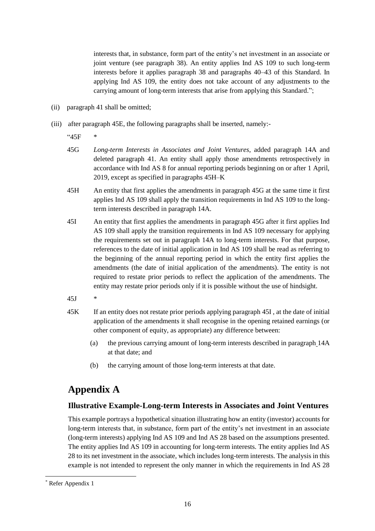interests that, in substance, form part of the entity's net investment in an associate or joint venture (see paragraph 38). An entity applies Ind AS 109 to such long-term interests before it applies paragraph 38 and paragraphs 40–43 of this Standard. In applying Ind AS 109, the entity does not take account of any adjustments to the carrying amount of long-term interests that arise from applying this Standard.";

- (ii) paragraph 41 shall be omitted;
- (iii) after paragraph 45E, the following paragraphs shall be inserted, namely:-

 $45F$ 

- 45G *Long-term Interests in Associates and Joint Ventures*, added paragraph 14A and deleted paragraph 41. An entity shall apply those amendments retrospectively in accordance with Ind AS 8 for annual reporting periods beginning on or after 1 April, 2019, except as specified in paragraphs 45H–K
- 45H An entity that first applies the amendments in paragraph 45G at the same time it first applies Ind AS 109 shall apply the transition requirements in Ind AS 109 to the longterm interests described in paragraph 14A.
- 45I An entity that first applies the amendments in paragraph 45G after it first applies Ind AS 109 shall apply the transition requirements in Ind AS 109 necessary for applying the requirements set out in paragraph 14A to long-term interests. For that purpose, references to the date of initial application in Ind AS 109 shall be read as referring to the beginning of the annual reporting period in which the entity first applies the amendments (the date of initial application of the amendments). The entity is not required to restate prior periods to reflect the application of the amendments. The entity may restate prior periods only if it is possible without the use of hindsight.
- $45J$
- 45K If an entity does not restate prior periods applying paragraph 45I , at the date of initial application of the amendments it shall recognise in the opening retained earnings (or other component of equity, as appropriate) any difference between:
	- (a) the previous carrying amount of long-term interests described in paragraph 14A at that date; and
	- (b) the carrying amount of those long-term interests at that date.

## **Appendix A**

#### **Illustrative Example-Long-term Interests in Associates and Joint Ventures**

This example portrays a hypothetical situation illustrating how an entity (investor) accounts for long-term interests that, in substance, form part of the entity's net investment in an associate (long-term interests) applying Ind AS 109 and Ind AS 28 based on the assumptions presented. The entity applies Ind AS 109 in accounting for long-term interests. The entity applies Ind AS 28 to its net investment in the associate, which includes long-term interests. The analysis in this example is not intended to represent the only manner in which the requirements in Ind AS 28

l

<sup>\*</sup> Refer Appendix 1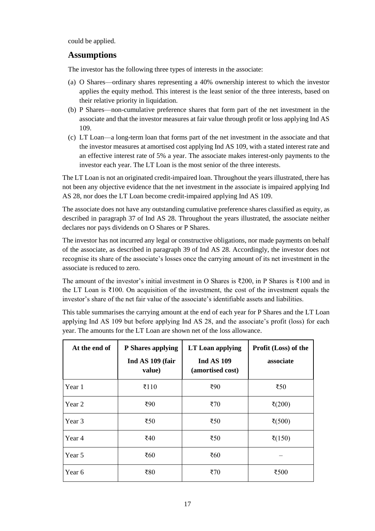could be applied.

### **Assumptions**

The investor has the following three types of interests in the associate:

- (a) O Shares—ordinary shares representing a 40% ownership interest to which the investor applies the equity method. This interest is the least senior of the three interests, based on their relative priority in liquidation.
- (b) P Shares—non-cumulative preference shares that form part of the net investment in the associate and that the investor measures at fair value through profit or loss applying Ind AS 109.
- (c) LT Loan—a long-term loan that forms part of the net investment in the associate and that the investor measures at amortised cost applying Ind AS 109, with a stated interest rate and an effective interest rate of 5% a year. The associate makes interest-only payments to the investor each year. The LT Loan is the most senior of the three interests.

The LT Loan is not an originated credit-impaired loan. Throughout the years illustrated, there has not been any objective evidence that the net investment in the associate is impaired applying Ind AS 28, nor does the LT Loan become credit-impaired applying Ind AS 109.

The associate does not have any outstanding cumulative preference shares classified as equity, as described in paragraph 37 of Ind AS 28. Throughout the years illustrated, the associate neither declares nor pays dividends on O Shares or P Shares.

The investor has not incurred any legal or constructive obligations, nor made payments on behalf of the associate, as described in paragraph 39 of Ind AS 28. Accordingly, the investor does not recognise its share of the associate's losses once the carrying amount of its net investment in the associate is reduced to zero.

The amount of the investor's initial investment in O Shares is  $\overline{\xi}200$ , in P Shares is  $\overline{\xi}100$  and in the LT Loan is ₹100. On acquisition of the investment, the cost of the investment equals the investor's share of the net fair value of the associate's identifiable assets and liabilities.

This table summarises the carrying amount at the end of each year for P Shares and the LT Loan applying Ind AS 109 but before applying Ind AS 28, and the associate's profit (loss) for each year. The amounts for the LT Loan are shown net of the loss allowance.

| At the end of | P Shares applying<br>Ind AS 109 (fair<br>value) | LT Loan applying<br><b>Ind AS 109</b><br>(amortised cost) | Profit (Loss) of the<br>associate |
|---------------|-------------------------------------------------|-----------------------------------------------------------|-----------------------------------|
| Year 1        | ₹110                                            | ₹ $90$                                                    | ₹50                               |
| Year 2        | ₹90                                             | $\bar{z}$ 70                                              | ₹ $(200)$                         |
| Year 3        | $\overline{50}$                                 | ₹50                                                       | ₹ $(500)$                         |
| Year 4        | ₹40                                             | ₹50                                                       | ₹ $(150)$                         |
| Year 5        | ₹60                                             | ₹ $60$                                                    |                                   |
| Year 6        | ₹80                                             | $\overline{570}$                                          | ₹500                              |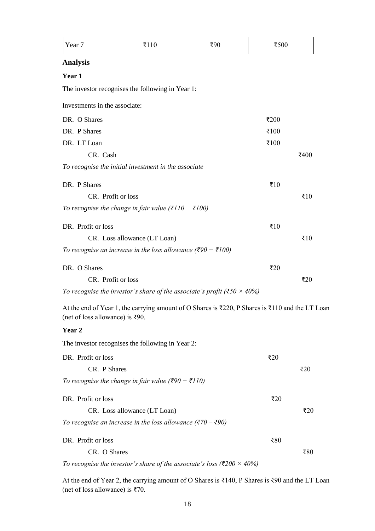| Year 7                          | ₹110                                                                              | ₹90                                                                                                                                        | ₹500               |        |
|---------------------------------|-----------------------------------------------------------------------------------|--------------------------------------------------------------------------------------------------------------------------------------------|--------------------|--------|
| <b>Analysis</b>                 |                                                                                   |                                                                                                                                            |                    |        |
| Year 1                          |                                                                                   |                                                                                                                                            |                    |        |
|                                 | The investor recognises the following in Year 1:                                  |                                                                                                                                            |                    |        |
| Investments in the associate:   |                                                                                   |                                                                                                                                            |                    |        |
| DR. O Shares                    |                                                                                   |                                                                                                                                            | ₹200               |        |
| DR. P Shares                    |                                                                                   |                                                                                                                                            | ₹ $100$            |        |
| DR. LT Loan                     |                                                                                   |                                                                                                                                            | ₹ $100$            |        |
| CR. Cash                        |                                                                                   |                                                                                                                                            |                    | ₹400   |
|                                 | To recognise the initial investment in the associate                              |                                                                                                                                            |                    |        |
| DR. P Shares                    |                                                                                   |                                                                                                                                            | ₹ $10$             |        |
| CR. Profit or loss              |                                                                                   |                                                                                                                                            |                    | ₹ $10$ |
|                                 | To recognise the change in fair value (₹110 – ₹100)                               |                                                                                                                                            |                    |        |
| DR. Profit or loss              |                                                                                   |                                                                                                                                            | $\overline{\xi}10$ |        |
|                                 | CR. Loss allowance (LT Loan)                                                      |                                                                                                                                            |                    | ₹ $10$ |
|                                 | To recognise an increase in the loss allowance ( $\bar{\xi}90 - \bar{\xi}100$ )   |                                                                                                                                            |                    |        |
| DR. O Shares                    |                                                                                   |                                                                                                                                            | ₹20                |        |
| CR. Profit or loss              |                                                                                   |                                                                                                                                            |                    | ₹20    |
|                                 |                                                                                   | To recognise the investor's share of the associate's profit ( $\overline{\xi}50 \times 40\%$ )                                             |                    |        |
| (net of loss allowance) is ₹90. |                                                                                   | At the end of Year 1, the carrying amount of O Shares is $\text{\textsterling}220$ , P Shares is $\text{\textsterling}110$ and the LT Loan |                    |        |
| Year 2                          |                                                                                   |                                                                                                                                            |                    |        |
|                                 | The investor recognises the following in Year 2:                                  |                                                                                                                                            |                    |        |
| DR. Profit or loss              |                                                                                   |                                                                                                                                            | $\overline{20}$    |        |
| CR. P Shares                    |                                                                                   |                                                                                                                                            |                    | ₹20    |
|                                 | To recognise the change in fair value ( $\bar{\xi}90 - \bar{\xi}110$ )            |                                                                                                                                            |                    |        |
| DR. Profit or loss              |                                                                                   |                                                                                                                                            | $\overline{20}$    |        |
|                                 | CR. Loss allowance (LT Loan)                                                      |                                                                                                                                            |                    | ₹20    |
|                                 | To recognise an increase in the loss allowance ( $\bar{\xi}$ 70 – $\bar{\xi}$ 90) |                                                                                                                                            |                    |        |
| DR. Profit or loss              |                                                                                   |                                                                                                                                            | ₹80                |        |
| CR. O Shares                    |                                                                                   |                                                                                                                                            |                    | ₹80    |
|                                 |                                                                                   | To recognise the investor's share of the associate's loss ( $\overline{\xi}200 \times 40\%$ )                                              |                    |        |

At the end of Year 2, the carrying amount of O Shares is ₹140, P Shares is ₹90 and the LT Loan (net of loss allowance) is ₹70.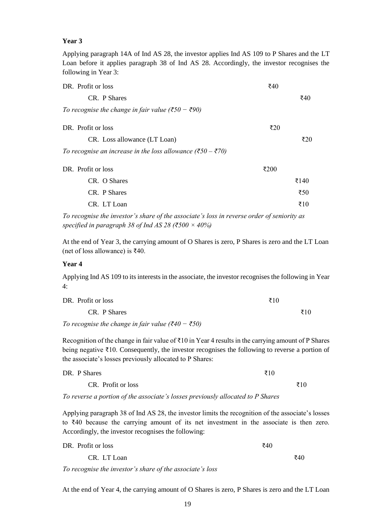#### **Year 3**

Applying paragraph 14A of Ind AS 28, the investor applies Ind AS 109 to P Shares and the LT Loan before it applies paragraph 38 of Ind AS 28. Accordingly, the investor recognises the following in Year 3:

| DR. Profit or loss                                                                       | ₹40  |                 |
|------------------------------------------------------------------------------------------|------|-----------------|
| CR. P Shares                                                                             |      | ₹40             |
| To recognise the change in fair value ( $\overline{$}50 - \overline{$}90$ )              |      |                 |
| DR. Profit or loss                                                                       | ₹20  |                 |
| CR. Loss allowance (LT Loan)                                                             |      | ₹20             |
| To recognise an increase in the loss allowance ( $\overline{\xi}50 - \overline{\xi}70$ ) |      |                 |
| DR. Profit or loss                                                                       | ₹200 |                 |
| CR. O Shares                                                                             |      | ₹140            |
| CR. P Shares                                                                             |      | $\overline{50}$ |
| CR. LT Loan                                                                              |      | ₹10             |

*To recognise the investor's share of the associate's loss in reverse order of seniority as specified in paragraph 38 of Ind AS 28 (₹500 × 40%)*

At the end of Year 3, the carrying amount of O Shares is zero, P Shares is zero and the LT Loan (net of loss allowance) is ₹40.

#### **Year 4**

Applying Ind AS 109 to its interests in the associate, the investor recognises the following in Year 4:

| DR. Profit or loss | ₹10 |             |
|--------------------|-----|-------------|
| CR. P Shares       |     | $\bar{x}10$ |

*To recognise the change in fair value (₹40 − ₹50)*

Recognition of the change in fair value of  $\bar{\tau}10$  in Year 4 results in the carrying amount of P Shares being negative ₹10. Consequently, the investor recognises the following to reverse a portion of the associate's losses previously allocated to P Shares:

| DR. P Shares       | ₹10 |
|--------------------|-----|
| CR. Profit or loss | ₹10 |

*To reverse a portion of the associate's losses previously allocated to P Shares*

Applying paragraph 38 of Ind AS 28, the investor limits the recognition of the associate's losses to ₹40 because the carrying amount of its net investment in the associate is then zero. Accordingly, the investor recognises the following:

| DR. Profit or loss | ₹40 |             |
|--------------------|-----|-------------|
| CR. LT Loan        |     | $\bar{z}40$ |

*To recognise the investor's share of the associate's loss*

At the end of Year 4, the carrying amount of O Shares is zero, P Shares is zero and the LT Loan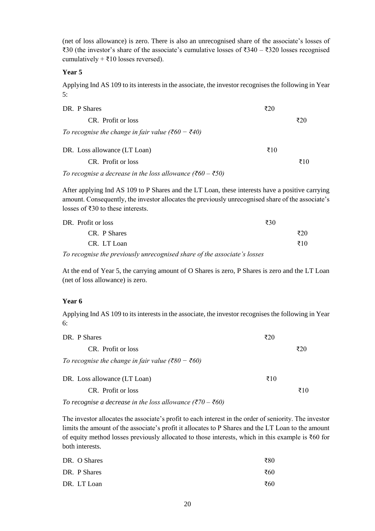(net of loss allowance) is zero. There is also an unrecognised share of the associate's losses of ₹30 (the investor's share of the associate's cumulative losses of ₹340 – ₹320 losses recognised cumulatively +  $\overline{\xi}$ 10 losses reversed).

#### **Year 5**

Applying Ind AS 109 to its interests in the associate, the investor recognises the following in Year 5:

| DR. P Shares                                                                    | ₹20 |     |
|---------------------------------------------------------------------------------|-----|-----|
| CR. Profit or loss                                                              |     | ₹20 |
| To recognise the change in fair value ( $\overline{\xi}60 - \overline{\xi}40$ ) |     |     |
| DR. Loss allowance (LT Loan)                                                    | ₹10 |     |
| CR. Profit or loss                                                              |     | ₹10 |
| To recognise a decrease in the loss allowance ( $\bar{\xi}60 - \bar{\xi}50$ )   |     |     |

After applying Ind AS 109 to P Shares and the LT Loan, these interests have a positive carrying amount. Consequently, the investor allocates the previously unrecognised share of the associate's losses of ₹30 to these interests.

|                | DR. Profit or loss |  |  | ₹30 |     |
|----------------|--------------------|--|--|-----|-----|
|                | CR. P Shares       |  |  |     | ₹20 |
|                | CR. LT Loan        |  |  |     | ₹10 |
| $\overline{ }$ |                    |  |  |     |     |

*To recognise the previously unrecognised share of the associate's losses*

At the end of Year 5, the carrying amount of O Shares is zero, P Shares is zero and the LT Loan (net of loss allowance) is zero.

#### **Year 6**

Applying Ind AS 109 to its interests in the associate, the investor recognises the following in Year 6:

| DR. P Shares                                      | ₹20         |     |
|---------------------------------------------------|-------------|-----|
| CR. Profit or loss                                |             | ₹20 |
| To recognise the change in fair value (₹80 – ₹60) |             |     |
| DR. Loss allowance (LT Loan)                      | $\bar{x}10$ |     |
| CR. Profit or loss                                |             | ₹10 |
|                                                   |             |     |

*To recognise a decrease in the loss allowance (₹70 – ₹60)*

The investor allocates the associate's profit to each interest in the order of seniority. The investor limits the amount of the associate's profit it allocates to P Shares and the LT Loan to the amount of equity method losses previously allocated to those interests, which in this example is ₹60 for both interests.

| DR. O Shares | ₹80 |
|--------------|-----|
| DR. P Shares | ₹60 |
| DR. LT Loan  | ₹60 |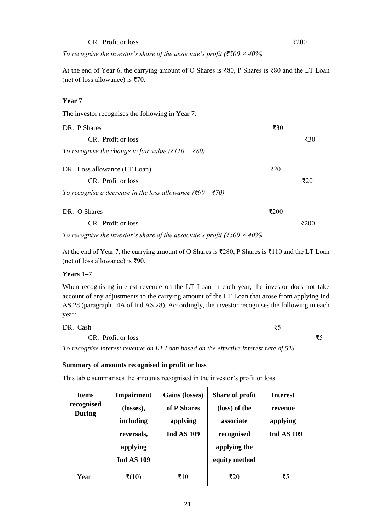CR. Profit or loss  $\zeta_{200}$ 

*To recognise the investor's share of the associate's profit (₹500 × 40%)*

At the end of Year 6, the carrying amount of O Shares is ₹80, P Shares is ₹80 and the LT Loan (net of loss allowance) is ₹70.

#### **Year 7**

| The investor recognises the following in Year 7:                              |                 |      |
|-------------------------------------------------------------------------------|-----------------|------|
| DR. P Shares                                                                  | $\overline{30}$ |      |
| CR. Profit or loss                                                            |                 | ₹30  |
| To recognise the change in fair value (₹110 – ₹80)                            |                 |      |
| DR. Loss allowance (LT Loan)                                                  | ₹20             |      |
| CR. Profit or loss                                                            |                 | ₹20  |
| To recognise a decrease in the loss allowance ( $\bar{\xi}90 - \bar{\xi}70$ ) |                 |      |
| DR. O Shares                                                                  | ₹200            |      |
| CR. Profit or loss                                                            |                 | ₹200 |
|                                                                               |                 |      |

*To recognise the investor's share of the associate's profit (₹500 × 40%)*

At the end of Year 7, the carrying amount of O Shares is ₹280, P Shares is ₹110 and the LT Loan (net of loss allowance) is ₹90.

#### **Years 1–7**

When recognising interest revenue on the LT Loan in each year, the investor does not take account of any adjustments to the carrying amount of the LT Loan that arose from applying Ind AS 28 (paragraph 14A of Ind AS 28). Accordingly, the investor recognises the following in each year:

DR. Cash  $\overline{\xi}$ 5

CR. Profit or loss  $\overline{\xi}$ 5

*To recognise interest revenue on LT Loan based on the effective interest rate of 5%*

#### **Summary of amounts recognised in profit or loss**

This table summarises the amounts recognised in the investor's profit or loss.

| <b>Items</b><br>recognised<br>During | <b>Impairment</b><br>(losses),<br>including<br>reversals,<br>applying<br><b>Ind AS 109</b> | Gains (losses)<br>of P Shares<br>applying<br><b>Ind AS 109</b> | Share of profit<br>(loss) of the<br>associate<br>recognised<br>applying the<br>equity method | <b>Interest</b><br>revenue<br>applying<br><b>Ind AS 109</b> |
|--------------------------------------|--------------------------------------------------------------------------------------------|----------------------------------------------------------------|----------------------------------------------------------------------------------------------|-------------------------------------------------------------|
| Year 1                               | रें(10)                                                                                    | ₹10                                                            | ₹20                                                                                          | ₹5                                                          |